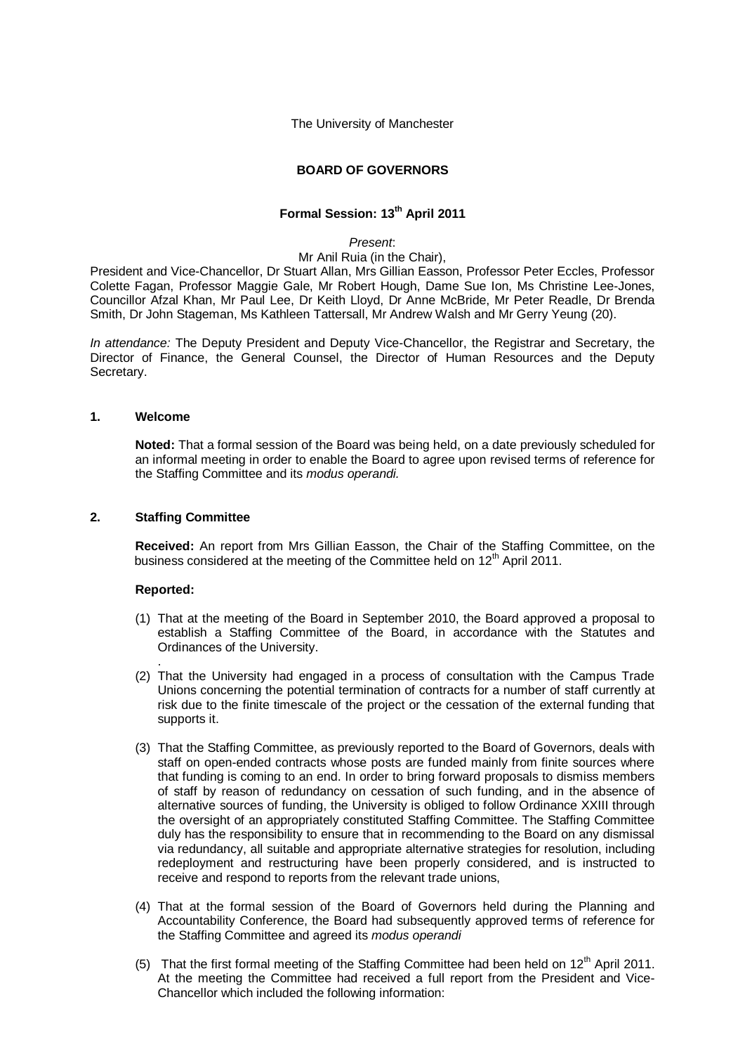The University of Manchester

### **BOARD OF GOVERNORS**

# **Formal Session: 13th April 2011**

#### *Present*:

#### Mr Anil Ruia (in the Chair),

President and Vice-Chancellor, Dr Stuart Allan, Mrs Gillian Easson, Professor Peter Eccles, Professor Colette Fagan, Professor Maggie Gale, Mr Robert Hough, Dame Sue Ion, Ms Christine Lee-Jones, Councillor Afzal Khan, Mr Paul Lee, Dr Keith Lloyd, Dr Anne McBride, Mr Peter Readle, Dr Brenda Smith, Dr John Stageman, Ms Kathleen Tattersall, Mr Andrew Walsh and Mr Gerry Yeung (20).

*In attendance:* The Deputy President and Deputy Vice-Chancellor, the Registrar and Secretary, the Director of Finance, the General Counsel, the Director of Human Resources and the Deputy Secretary.

### **1. Welcome**

**Noted:** That a formal session of the Board was being held, on a date previously scheduled for an informal meeting in order to enable the Board to agree upon revised terms of reference for the Staffing Committee and its *modus operandi.*

### **2. Staffing Committee**

**Received:** An report from Mrs Gillian Easson, the Chair of the Staffing Committee, on the business considered at the meeting of the Committee held on 12<sup>th</sup> April 2011.

### **Reported:**

.

- (1) That at the meeting of the Board in September 2010, the Board approved a proposal to establish a Staffing Committee of the Board, in accordance with the Statutes and Ordinances of the University.
- (2) That the University had engaged in a process of consultation with the Campus Trade Unions concerning the potential termination of contracts for a number of staff currently at risk due to the finite timescale of the project or the cessation of the external funding that supports it.
- (3) That the Staffing Committee, as previously reported to the Board of Governors, deals with staff on open-ended contracts whose posts are funded mainly from finite sources where that funding is coming to an end. In order to bring forward proposals to dismiss members of staff by reason of redundancy on cessation of such funding, and in the absence of alternative sources of funding, the University is obliged to follow Ordinance XXIII through the oversight of an appropriately constituted Staffing Committee. The Staffing Committee duly has the responsibility to ensure that in recommending to the Board on any dismissal via redundancy, all suitable and appropriate alternative strategies for resolution, including redeployment and restructuring have been properly considered, and is instructed to receive and respond to reports from the relevant trade unions,
- (4) That at the formal session of the Board of Governors held during the Planning and Accountability Conference, the Board had subsequently approved terms of reference for the Staffing Committee and agreed its *modus operandi*
- (5) That the first formal meeting of the Staffing Committee had been held on  $12<sup>th</sup>$  April 2011. At the meeting the Committee had received a full report from the President and Vice-Chancellor which included the following information: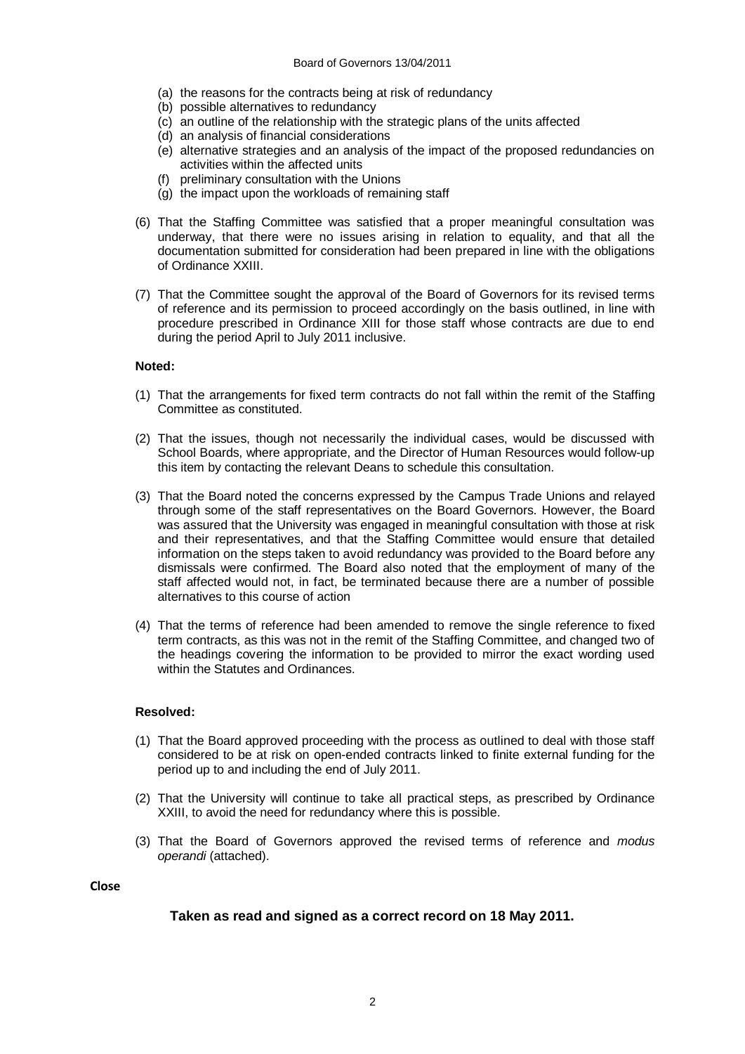- (a) the reasons for the contracts being at risk of redundancy
- (b) possible alternatives to redundancy
- (c) an outline of the relationship with the strategic plans of the units affected
- (d) an analysis of financial considerations
- (e) alternative strategies and an analysis of the impact of the proposed redundancies on activities within the affected units
- (f) preliminary consultation with the Unions
- (g) the impact upon the workloads of remaining staff
- (6) That the Staffing Committee was satisfied that a proper meaningful consultation was underway, that there were no issues arising in relation to equality, and that all the documentation submitted for consideration had been prepared in line with the obligations of Ordinance XXIII.
- (7) That the Committee sought the approval of the Board of Governors for its revised terms of reference and its permission to proceed accordingly on the basis outlined, in line with procedure prescribed in Ordinance XIII for those staff whose contracts are due to end during the period April to July 2011 inclusive.

### **Noted:**

- (1) That the arrangements for fixed term contracts do not fall within the remit of the Staffing Committee as constituted.
- (2) That the issues, though not necessarily the individual cases, would be discussed with School Boards, where appropriate, and the Director of Human Resources would follow-up this item by contacting the relevant Deans to schedule this consultation.
- (3) That the Board noted the concerns expressed by the Campus Trade Unions and relayed through some of the staff representatives on the Board Governors. However, the Board was assured that the University was engaged in meaningful consultation with those at risk and their representatives, and that the Staffing Committee would ensure that detailed information on the steps taken to avoid redundancy was provided to the Board before any dismissals were confirmed. The Board also noted that the employment of many of the staff affected would not, in fact, be terminated because there are a number of possible alternatives to this course of action
- (4) That the terms of reference had been amended to remove the single reference to fixed term contracts, as this was not in the remit of the Staffing Committee, and changed two of the headings covering the information to be provided to mirror the exact wording used within the Statutes and Ordinances

### **Resolved:**

- (1) That the Board approved proceeding with the process as outlined to deal with those staff considered to be at risk on open-ended contracts linked to finite external funding for the period up to and including the end of July 2011.
- (2) That the University will continue to take all practical steps, as prescribed by Ordinance XXIII, to avoid the need for redundancy where this is possible.
- (3) That the Board of Governors approved the revised terms of reference and *modus operandi* (attached).

### **Close**

## **Taken as read and signed as a correct record on 18 May 2011.**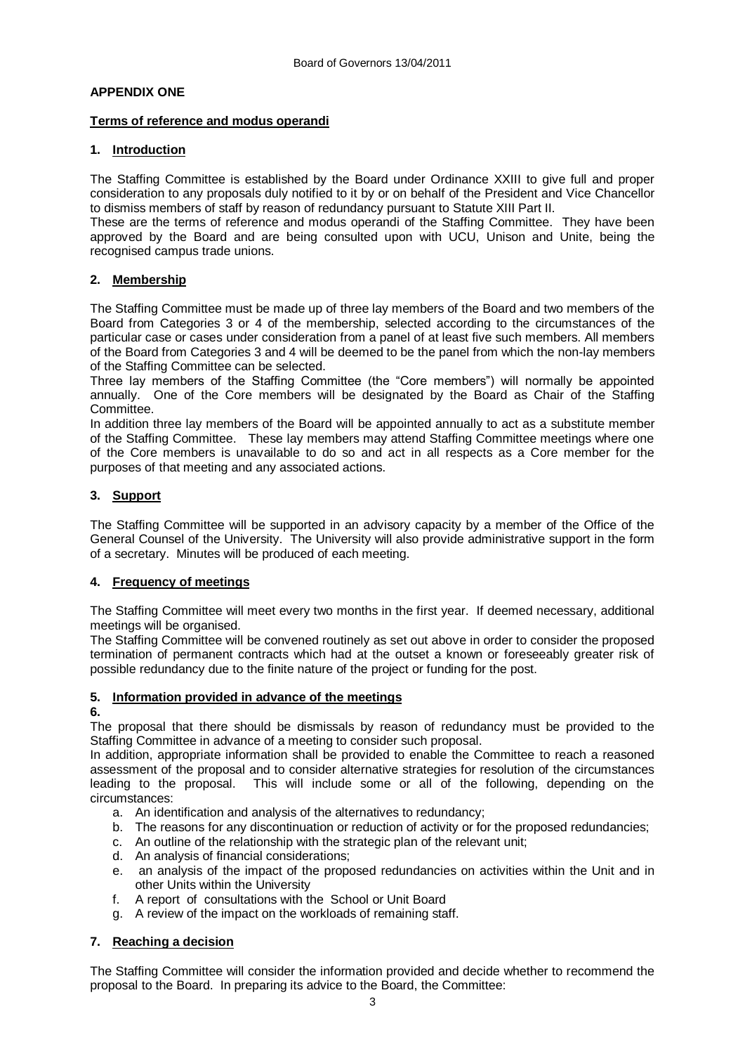## **APPENDIX ONE**

## **Terms of reference and modus operandi**

## **1. Introduction**

The Staffing Committee is established by the Board under Ordinance XXIII to give full and proper consideration to any proposals duly notified to it by or on behalf of the President and Vice Chancellor to dismiss members of staff by reason of redundancy pursuant to Statute XIII Part II.

These are the terms of reference and modus operandi of the Staffing Committee. They have been approved by the Board and are being consulted upon with UCU, Unison and Unite, being the recognised campus trade unions.

## **2. Membership**

The Staffing Committee must be made up of three lay members of the Board and two members of the Board from Categories 3 or 4 of the membership, selected according to the circumstances of the particular case or cases under consideration from a panel of at least five such members. All members of the Board from Categories 3 and 4 will be deemed to be the panel from which the non-lay members of the Staffing Committee can be selected.

Three lay members of the Staffing Committee (the "Core members") will normally be appointed annually. One of the Core members will be designated by the Board as Chair of the Staffing Committee.

In addition three lay members of the Board will be appointed annually to act as a substitute member of the Staffing Committee. These lay members may attend Staffing Committee meetings where one of the Core members is unavailable to do so and act in all respects as a Core member for the purposes of that meeting and any associated actions.

## **3. Support**

The Staffing Committee will be supported in an advisory capacity by a member of the Office of the General Counsel of the University. The University will also provide administrative support in the form of a secretary. Minutes will be produced of each meeting.

## **4. Frequency of meetings**

The Staffing Committee will meet every two months in the first year. If deemed necessary, additional meetings will be organised.

The Staffing Committee will be convened routinely as set out above in order to consider the proposed termination of permanent contracts which had at the outset a known or foreseeably greater risk of possible redundancy due to the finite nature of the project or funding for the post.

# **5. Information provided in advance of the meetings**

## **6.**

The proposal that there should be dismissals by reason of redundancy must be provided to the Staffing Committee in advance of a meeting to consider such proposal.

In addition, appropriate information shall be provided to enable the Committee to reach a reasoned assessment of the proposal and to consider alternative strategies for resolution of the circumstances leading to the proposal. This will include some or all of the following, depending on the circumstances:

- a. An identification and analysis of the alternatives to redundancy;
- b. The reasons for any discontinuation or reduction of activity or for the proposed redundancies;
- c. An outline of the relationship with the strategic plan of the relevant unit;
- d. An analysis of financial considerations;
- e. an analysis of the impact of the proposed redundancies on activities within the Unit and in other Units within the University
- f. A report of consultations with the School or Unit Board
- g. A review of the impact on the workloads of remaining staff.

# **7. Reaching a decision**

The Staffing Committee will consider the information provided and decide whether to recommend the proposal to the Board. In preparing its advice to the Board, the Committee: